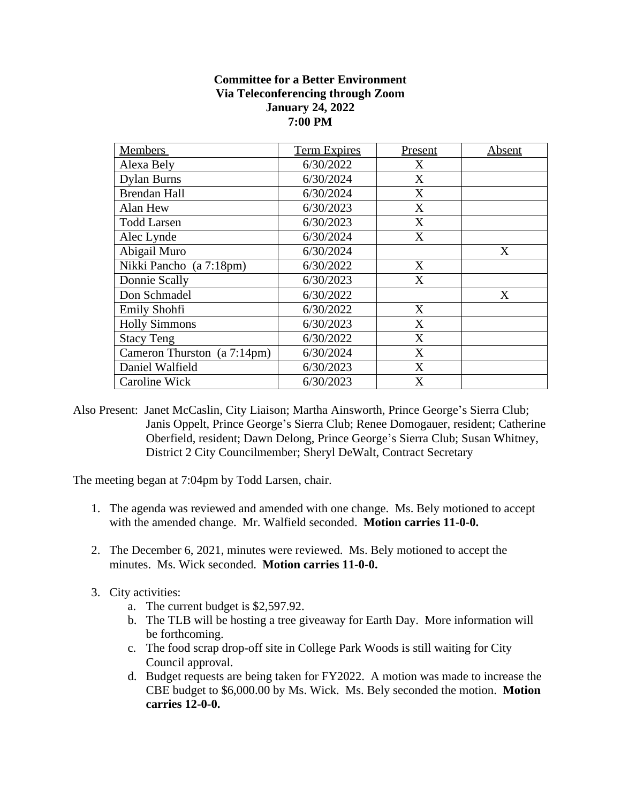## **Committee for a Better Environment Via Teleconferencing through Zoom January 24, 2022 7:00 PM**

| <b>Members</b>              | <b>Term Expires</b> | Present | Absent |
|-----------------------------|---------------------|---------|--------|
| Alexa Bely                  | 6/30/2022           | X       |        |
| <b>Dylan Burns</b>          | 6/30/2024           | X       |        |
| <b>Brendan Hall</b>         | 6/30/2024           | X       |        |
| Alan Hew                    | 6/30/2023           | X       |        |
| <b>Todd Larsen</b>          | 6/30/2023           | X       |        |
| Alec Lynde                  | 6/30/2024           | X       |        |
| Abigail Muro                | 6/30/2024           |         | X      |
| Nikki Pancho (a 7:18pm)     | 6/30/2022           | X       |        |
| Donnie Scally               | 6/30/2023           | X       |        |
| Don Schmadel                | 6/30/2022           |         | X      |
| Emily Shohfi                | 6/30/2022           | X       |        |
| <b>Holly Simmons</b>        | 6/30/2023           | X       |        |
| <b>Stacy Teng</b>           | 6/30/2022           | X       |        |
| Cameron Thurston (a 7:14pm) | 6/30/2024           | X       |        |
| Daniel Walfield             | 6/30/2023           | X       |        |
| Caroline Wick               | 6/30/2023           | X       |        |

Also Present: Janet McCaslin, City Liaison; Martha Ainsworth, Prince George's Sierra Club; Janis Oppelt, Prince George's Sierra Club; Renee Domogauer, resident; Catherine Oberfield, resident; Dawn Delong, Prince George's Sierra Club; Susan Whitney, District 2 City Councilmember; Sheryl DeWalt, Contract Secretary

The meeting began at 7:04pm by Todd Larsen, chair.

- 1. The agenda was reviewed and amended with one change. Ms. Bely motioned to accept with the amended change. Mr. Walfield seconded. **Motion carries 11-0-0.**
- 2. The December 6, 2021, minutes were reviewed. Ms. Bely motioned to accept the minutes. Ms. Wick seconded. **Motion carries 11-0-0.**
- 3. City activities:
	- a. The current budget is \$2,597.92.
	- b. The TLB will be hosting a tree giveaway for Earth Day. More information will be forthcoming.
	- c. The food scrap drop-off site in College Park Woods is still waiting for City Council approval.
	- d. Budget requests are being taken for FY2022. A motion was made to increase the CBE budget to \$6,000.00 by Ms. Wick. Ms. Bely seconded the motion. **Motion carries 12-0-0.**